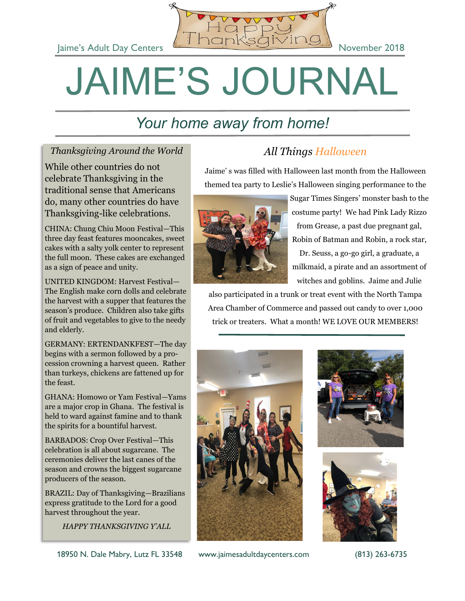

## JAIME'S JOURNAL

### *Your home away from home!*

#### *Thanksgiving Around the World*

While other countries do not celebrate Thanksgiving in the traditional sense that Americans do, many other countries do have Thanksgiving-like celebrations.

CHINA: Chung Chiu Moon Festival—This three day feast features mooncakes, sweet cakes with a salty yolk center to represent the full moon. These cakes are exchanged as a sign of peace and unity.

UNITED KINGDOM: Harvest Festival— The English make corn dolls and celebrate the harvest with a supper that features the season's produce. Children also take gifts of fruit and vegetables to give to the needy and elderly.

GERMANY: ERTENDANKFEST—The day begins with a sermon followed by a procession crowning a harvest queen. Rather than turkeys, chickens are fattened up for the feast.

GHANA: Homowo or Yam Festival—Yams are a major crop in Ghana. The festival is held to ward against famine and to thank the spirits for a bountiful harvest.

BARBADOS: Crop Over Festival—This celebration is all about sugarcane. The ceremonies deliver the last canes of the season and crowns the biggest sugarcane producers of the season.

BRAZIL: Day of Thanksgiving—Brazilians express gratitude to the Lord for a good harvest throughout the year.

*HAPPY THANKSGIVING Y'ALL* 

#### *All Things Halloween*

Jaime' s was filled with Halloween last month from the Halloween themed tea party to Leslie's Halloween singing performance to the



Sugar Times Singers' monster bash to the costume party! We had Pink Lady Rizzo from Grease, a past due pregnant gal, Robin of Batman and Robin, a rock star, Dr. Seuss, a go-go girl, a graduate, a milkmaid, a pirate and an assortment of witches and goblins. Jaime and Julie

also participated in a trunk or treat event with the North Tampa Area Chamber of Commerce and passed out candy to over 1,000 trick or treaters. What a month! WE LOVE OUR MEMBERS!





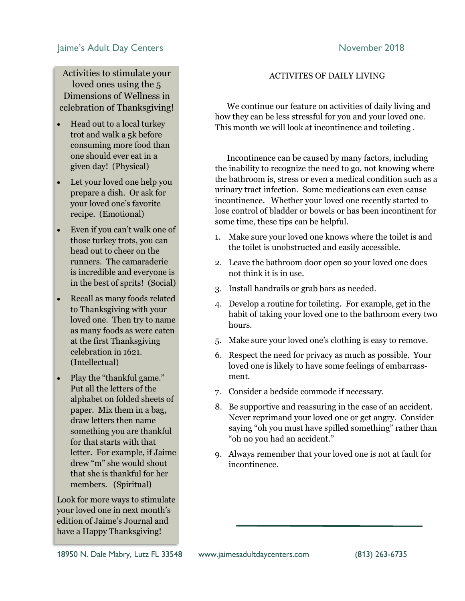#### Jaime's Adult Day Centers **November 2018**

Activities to stimulate your loved ones using the 5 Dimensions of Wellness in celebration of Thanksgiving!

- Head out to a local turkey trot and walk a 5k before consuming more food than one should ever eat in a given day! (Physical)
- Let your loved one help you prepare a dish. Or ask for your loved one's favorite recipe. (Emotional)
- Even if you can't walk one of those turkey trots, you can head out to cheer on the runners. The camaraderie is incredible and everyone is in the best of sprits! (Social)
- Recall as many foods related to Thanksgiving with your loved one. Then try to name as many foods as were eaten at the first Thanksgiving celebration in 1621. (Intellectual)
- Play the "thankful game." Put all the letters of the alphabet on folded sheets of paper. Mix them in a bag, draw letters then name something you are thankful for that starts with that letter. For example, if Jaime drew "m" she would shout that she is thankful for her members. (Spiritual)

Look for more ways to stimulate your loved one in next month's edition of Jaime's Journal and have a Happy Thanksgiving!

#### ACTIVITES OF DAILY LIVING

 We continue our feature on activities of daily living and how they can be less stressful for you and your loved one. This month we will look at incontinence and toileting .

 Incontinence can be caused by many factors, including the inability to recognize the need to go, not knowing where the bathroom is, stress or even a medical condition such as a urinary tract infection. Some medications can even cause incontinence. Whether your loved one recently started to lose control of bladder or bowels or has been incontinent for some time, these tips can be helpful.

- 1. Make sure your loved one knows where the toilet is and the toilet is unobstructed and easily accessible.
- 2. Leave the bathroom door open so your loved one does not think it is in use.
- 3. Install handrails or grab bars as needed.
- 4. Develop a routine for toileting. For example, get in the habit of taking your loved one to the bathroom every two hours.
- 5. Make sure your loved one's clothing is easy to remove.
- 6. Respect the need for privacy as much as possible. Your loved one is likely to have some feelings of embarrassment.
- 7. Consider a bedside commode if necessary.
- 8. Be supportive and reassuring in the case of an accident. Never reprimand your loved one or get angry. Consider saying "oh you must have spilled something" rather than "oh no you had an accident."
- 9. Always remember that your loved one is not at fault for incontinence.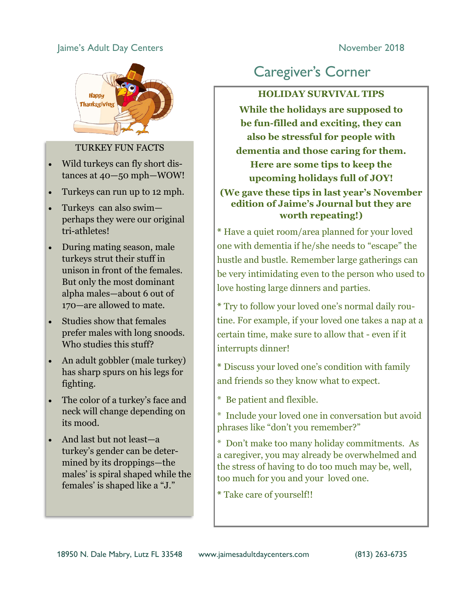#### Jaime's Adult Day Centers **November 2018**



#### TURKEY FUN FACTS

- Wild turkeys can fly short distances at 40—50 mph—WOW!
- Turkeys can run up to 12 mph.
- Turkeys can also swim perhaps they were our original tri-athletes!
- During mating season, male turkeys strut their stuff in unison in front of the females. But only the most dominant alpha males—about 6 out of 170—are allowed to mate.
- Studies show that females prefer males with long snoods. Who studies this stuff?
- An adult gobbler (male turkey) has sharp spurs on his legs for fighting.
- The color of a turkey's face and neck will change depending on its mood.
- And last but not least—a turkey's gender can be determined by its droppings—the males' is spiral shaped while the females' is shaped like a "J."

#### Caregiver's Corner

#### **HOLIDAY SURVIVAL TIPS**

**While the holidays are supposed to be fun-filled and exciting, they can also be stressful for people with dementia and those caring for them. Here are some tips to keep the upcoming holidays full of JOY! (We gave these tips in last year's November** 

#### **edition of Jaime's Journal but they are worth repeating!)**

**\*** Have a quiet room/area planned for your loved one with dementia if he/she needs to "escape" the hustle and bustle. Remember large gatherings can be very intimidating even to the person who used to love hosting large dinners and parties.

**\*** Try to follow your loved one's normal daily routine. For example, if your loved one takes a nap at a certain time, make sure to allow that - even if it interrupts dinner!

**\*** Discuss your loved one's condition with family and friends so they know what to expect.

- \* Be patient and flexible.
- \* Include your loved one in conversation but avoid phrases like "don't you remember?"

\* Don't make too many holiday commitments. As a caregiver, you may already be overwhelmed and the stress of having to do too much may be, well, too much for you and your loved one.

**\*** Take care of yourself!!